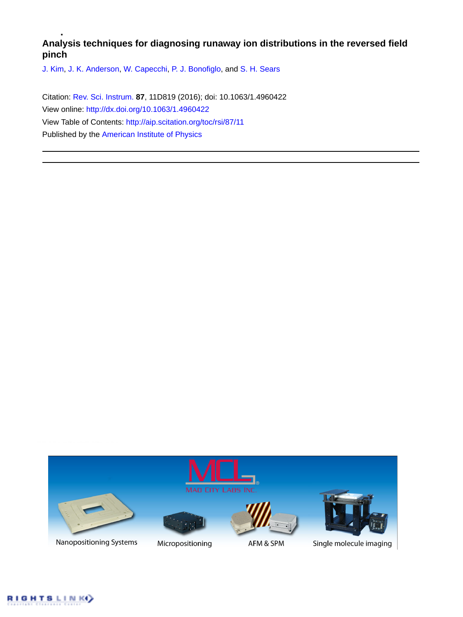# **Analysis techniques for diagnosing runaway ion distributions in the reversed field pinch**

[J. Kim,](http://aip.scitation.org/author/Kim%2C+J) [J. K. Anderson](http://aip.scitation.org/author/Anderson%2C+J+K), [W. Capecchi,](http://aip.scitation.org/author/Capecchi%2C+W) [P. J. Bonofiglo](http://aip.scitation.org/author/Bonofiglo%2C+P+J), and [S. H. Sears](http://aip.scitation.org/author/Sears%2C+S+H)

Citation: [Rev. Sci. Instrum.](/loi/rsi) **87**, 11D819 (2016); doi: 10.1063/1.4960422 View online: <http://dx.doi.org/10.1063/1.4960422> View Table of Contents: <http://aip.scitation.org/toc/rsi/87/11> Published by the [American Institute of Physics](http://aip.scitation.org/publisher/)



Nanopositioning Systems



Micropositioning



AFM & SPM



Single molecule imaging

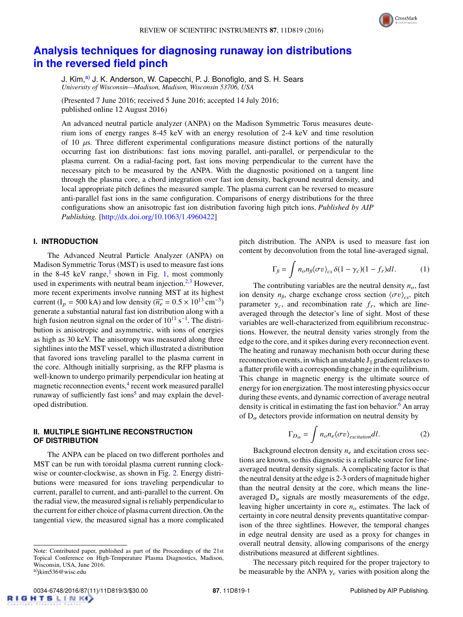

# **[Analysis techniques for diagnosing runaway ion distributions](http://dx.doi.org/10.1063/1.4960422) [in the reversed field pinch](http://dx.doi.org/10.1063/1.4960422)**

J. Kim,<sup>[a\)](#page-1-0)</sup> J. K. Anderson, W. Capecchi, P. J. Bonofiglo, and S. H. Sears *University of Wisconsin—Madison, Madison, Wisconsin 53706, USA*

(Presented 7 June 2016; received 5 June 2016; accepted 14 July 2016; published online 12 August 2016)

An advanced neutral particle analyzer (ANPA) on the Madison Symmetric Torus measures deuterium ions of energy ranges 8-45 keV with an energy resolution of 2-4 keV and time resolution of 10  $\mu$ s. Three different experimental configurations measure distinct portions of the naturally occurring fast ion distributions: fast ions moving parallel, anti-parallel, or perpendicular to the plasma current. On a radial-facing port, fast ions moving perpendicular to the current have the necessary pitch to be measured by the ANPA. With the diagnostic positioned on a tangent line through the plasma core, a chord integration over fast ion density, background neutral density, and local appropriate pitch defines the measured sample. The plasma current can be reversed to measure anti-parallel fast ions in the same configuration. Comparisons of energy distributions for the three configurations show an anisotropic fast ion distribution favoring high pitch ions. *Published by AIP Publishing.* [\[http:](http://dx.doi.org/10.1063/1.4960422)//[dx.doi.org](http://dx.doi.org/10.1063/1.4960422)/[10.1063](http://dx.doi.org/10.1063/1.4960422)/[1.4960422\]](http://dx.doi.org/10.1063/1.4960422)

#### **I. INTRODUCTION**

The Advanced Neutral Particle Analyzer (ANPA) on Madison Symmetric Torus (MST) is used to measure fast ions in the 8-45 keV range, $<sup>1</sup>$  $<sup>1</sup>$  $<sup>1</sup>$  shown in Fig. [1,](#page-2-0) most commonly</sup> used in experiments with neutral beam injection. $2.3$  $2.3$  However, more recent experiments involve running MST at its highest current (I<sub>p</sub> = 500 kA) and low density ( $\overline{n_e}$  = 0.5 × 10<sup>13</sup> cm<sup>-3</sup>)<br>generate a substantial natural fast ion distribution along with a generate a substantial natural fast ion distribution along with a high fusion neutron signal on the order of  $10^{11}$  s<sup>-1</sup>. The distribution is anisotropic and asymmetric, with ions of energies as high as 30 keV. The anisotropy was measured along three sightlines into the MST vessel, which illustrated a distribution that favored ions traveling parallel to the plasma current in the core. Although initially surprising, as the RFP plasma is well-known to undergo primarily perpendicular ion heating at magnetic reconnection events,<sup>[4](#page-3-3)</sup> recent work measured parallel runaway of sufficiently fast ions<sup>[5](#page-3-4)</sup> and may explain the developed distribution.

## **II. MULTIPLE SIGHTLINE RECONSTRUCTION OF DISTRIBUTION**

The ANPA can be placed on two different portholes and MST can be run with toroidal plasma current running clock-wise or counter-clockwise, as shown in Fig. [2.](#page-2-1) Energy distributions were measured for ions traveling perpendicular to current, parallel to current, and anti-parallel to the current. On the radial view, the measured signal is reliably perpendicular to the current for either choice of plasma current direction. On the tangential view, the measured signal has a more complicated

pitch distribution. The ANPA is used to measure fast ion content by deconvolution from the total line-averaged signal,

$$
\Gamma_{f_i} = \int n_o n_{f_i} \langle \sigma v \rangle_{cx} \delta(1 - \gamma_c)(1 - f_r) dl. \tag{1}
$$

The contributing variables are the neutral density  $n<sub>o</sub>$ , fast ion density  $n_f$ , charge exchange cross section  $\langle \sigma v \rangle_{cx}$ , pitch parameter  $\gamma_c$ , and recombination rate  $f_r$ , which are lineaveraged through the detector's line of sight. Most of these variables are well-characterized from equilibrium reconstructions. However, the neutral density varies strongly from the edge to the core, and it spikes during every reconnection event. The heating and runaway mechanism both occur during these reconnection events, in which an unstable  $J_{\parallel}$  gradient relaxes to a flatter profile with a corresponding change in the equilibrium. This change in magnetic energy is the ultimate source of energy for ion energization. The most interesting physics occur during these events, and dynamic correction of average neutral density is critical in estimating the fast ion behavior.<sup>[6](#page-3-5)</sup> An array of  $D_{\alpha}$  detectors provide information on neutral density by

$$
\Gamma_{D_{\alpha}} = \int n_o n_e \langle \sigma v \rangle_{excitation} dl. \tag{2}
$$

Background electron density  $n_e$  and excitation cross sections are known, so this diagnostic is a reliable source for lineaveraged neutral density signals. A complicating factor is that the neutral density at the edge is 2-3 orders of magnitude higher than the neutral density at the core, which means the lineaveraged  $D_{\alpha}$  signals are mostly measurements of the edge, leaving higher uncertainty in core  $n<sub>o</sub>$  estimates. The lack of certainty in core neutral density prevents quantitative comparison of the three sightlines. However, the temporal changes in edge neutral density are used as a proxy for changes in overall neutral density, allowing comparisons of the energy distributions measured at different sightlines.

The necessary pitch required for the proper trajectory to be measurable by the ANPA  $\gamma_c$  varies with position along the

<span id="page-1-0"></span>Note: Contributed paper, published as part of the Proceedings of the 21st Topical Conference on High-Temperature Plasma Diagnostics, Madison, Wisconsin, USA, June 2016. <sup>a)</sup>jkim536@wisc.edu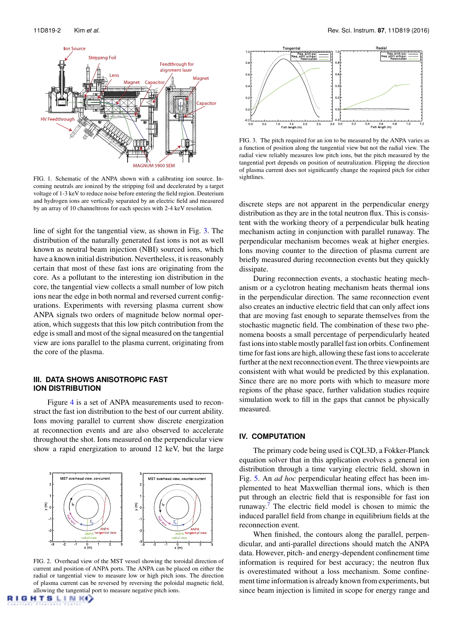<span id="page-2-0"></span>

FIG. 1. Schematic of the ANPA shown with a calibrating ion source. Incoming neutrals are ionized by the stripping foil and decelerated by a target voltage of 1-3 keV to reduce noise before entering the field region. Deuterium and hydrogen ions are vertically separated by an electric field and measured by an array of 10 channeltrons for each species with 2-4 keV resolution.

line of sight for the tangential view, as shown in Fig. [3.](#page-2-2) The distribution of the naturally generated fast ions is not as well known as neutral beam injection (NBI) sourced ions, which have a known initial distribution. Nevertheless, it is reasonably certain that most of these fast ions are originating from the core. As a pollutant to the interesting ion distribution in the core, the tangential view collects a small number of low pitch ions near the edge in both normal and reversed current configurations. Experiments with reversing plasma current show ANPA signals two orders of magnitude below normal operation, which suggests that this low pitch contribution from the edge is small and most of the signal measured on the tangential view are ions parallel to the plasma current, originating from the core of the plasma.

## **III. DATA SHOWS ANISOTROPIC FAST ION DISTRIBUTION**

Figure [4](#page-3-6) is a set of ANPA measurements used to reconstruct the fast ion distribution to the best of our current ability. Ions moving parallel to current show discrete energization at reconnection events and are also observed to accelerate throughout the shot. Ions measured on the perpendicular view show a rapid energization to around 12 keV, but the large

<span id="page-2-1"></span>

FIG. 2. Overhead view of the MST vessel showing the toroidal direction of current and position of ANPA ports. The ANPA can be placed on either the radial or tangential view to measure low or high pitch ions. The direction of plasma current can be reversed by reversing the poloidal magnetic field, allowing the tangential port to measure negative pitch ions.<br> **G H T S L I N K** 

<span id="page-2-2"></span>

FIG. 3. The pitch required for an ion to be measured by the ANPA varies as a function of position along the tangential view but not the radial view. The radial view reliably measures low pitch ions, but the pitch measured by the tangential port depends on position of neutralization. Flipping the direction of plasma current does not significantly change the required pitch for either sightlines.

discrete steps are not apparent in the perpendicular energy distribution as they are in the total neutron flux. This is consistent with the working theory of a perpendicular bulk heating mechanism acting in conjunction with parallel runaway. The perpendicular mechanism becomes weak at higher energies. Ions moving counter to the direction of plasma current are briefly measured during reconnection events but they quickly dissipate.

During reconnection events, a stochastic heating mechanism or a cyclotron heating mechanism heats thermal ions in the perpendicular direction. The same reconnection event also creates an inductive electric field that can only affect ions that are moving fast enough to separate themselves from the stochastic magnetic field. The combination of these two phenomena boosts a small percentage of perpendicularly heated fast ions into stable mostly parallel fast ion orbits. Confinement time for fast ions are high, allowing these fast ions to accelerate further at the next reconnection event. The three viewpoints are consistent with what would be predicted by this explanation. Since there are no more ports with which to measure more regions of the phase space, further validation studies require simulation work to fill in the gaps that cannot be physically measured.

## **IV. COMPUTATION**

The primary code being used is CQL3D, a Fokker-Planck equation solver that in this application evolves a general ion distribution through a time varying electric field, shown in Fig. [5.](#page-3-7) An *ad hoc* perpendicular heating effect has been implemented to heat Maxwellian thermal ions, which is then put through an electric field that is responsible for fast ion runaway.[7](#page-3-8) The electric field model is chosen to mimic the induced parallel field from change in equilibrium fields at the reconnection event.

When finished, the contours along the parallel, perpendicular, and anti-parallel directions should match the ANPA data. However, pitch- and energy-dependent confinement time information is required for best accuracy; the neutron flux is overestimated without a loss mechanism. Some confinement time information is already known from experiments, but since beam injection is limited in scope for energy range and